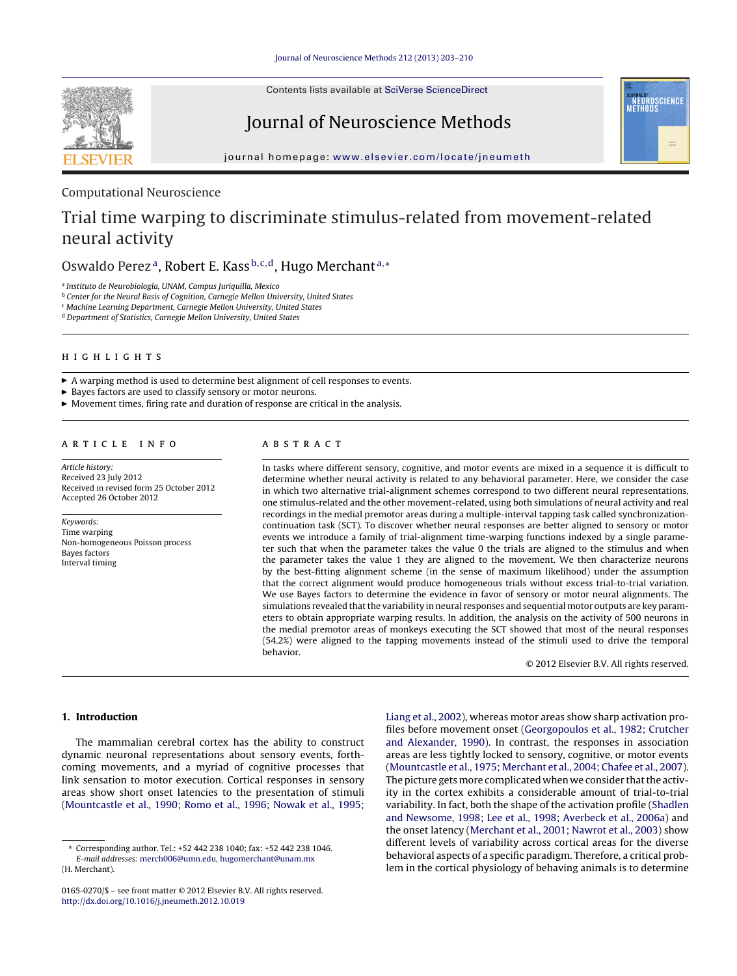

Contents lists available at SciVerse [ScienceDirect](http://www.sciencedirect.com/science/journal/01650270)

# Journal of Neuroscience Methods



journal homepage: [www.elsevier.com/locate/jneumeth](http://www.elsevier.com/locate/jneumeth)

# Computational Neuroscience

# Trial time warping to discriminate stimulus-related from movement-related neural activity

# Oswaldo Perez<sup>a</sup>, Robert E. Kass<sup>b,c,d</sup>, Hugo Merchant<sup>a,\*</sup>

<sup>a</sup> Instituto de Neurobiología, UNAM, Campus Juriquilla, Mexico

b Center for the Neural Basis of Cognition, Carnegie Mellon University, United States

<sup>c</sup> Machine Learning Department, Carnegie Mellon University, United States

<sup>d</sup> Department of Statistics, Carnegie Mellon University, United States

 $\blacktriangleright$  A warping method is used to determine best alignment of cell responses to events.

- Bayes factors are used to classify sensory or motor neurons.

 $\blacktriangleright$  Movement times, firing rate and duration of response are critical in the analysis.

Article history: Received 23 July 2012 Received in revised form 25 October 2012 Accepted 26 October 2012

Keywords: Time warping Non-homogeneous Poisson process Bayes factors Interval timing

In tasks where different sensory, cognitive, and motor events are mixed in a sequence it is difficult to determine whether neural activity is related to any behavioral parameter. Here, we consider the case in which two alternative trial-alignment schemes correspond to two different neural representations, one stimulus-related and the other movement-related, using both simulations of neural activity and real recordings in the medial premotor areas during a multiple-interval tapping task called synchronizationcontinuation task (SCT). To discover whether neural responses are better aligned to sensory or motor events we introduce a family of trial-alignment time-warping functions indexed by a single parameter such that when the parameter takes the value 0 the trials are aligned to the stimulus and when the parameter takes the value 1 they are aligned to the movement. We then characterize neurons by the best-fitting alignment scheme (in the sense of maximum likelihood) under the assumption that the correct alignment would produce homogeneous trials without excess trial-to-trial variation. We use Bayes factors to determine the evidence in favor of sensory or motor neural alignments. The simulations revealed that the variability in neural responses and sequential motor outputs are key parameters to obtain appropriate warping results. In addition, the analysis on the activity of 500 neurons in the medial premotor areas of monkeys executing the SCT showed that most of the neural responses (54.2%) were aligned to the tapping movements instead of the stimuli used to drive the temporal behavior.

© 2012 Elsevier B.V. All rights reserved.

# **1. Introduction**

The mammalian cerebral cortex has the ability to construct dynamic neuronal representations about sensory events, forthcoming movements, and a myriad of cognitive processes that link sensation to motor execution. Cortical responses in sensory areas show short onset latencies to the presentation of stimuli ([Mountcastle](#page-7-0) et [al.,](#page-7-0) [1990;](#page-7-0) [Romo](#page-7-0) et [al.,](#page-7-0) [1996;](#page-7-0) [Nowak](#page-7-0) et [al.,](#page-7-0) [1995;](#page-7-0)

[Liang](#page-7-0) et [al.,](#page-7-0) [2002\),](#page-7-0) whereas motor areas show sharp activation profiles before movement onset [\(Georgopoulos](#page-7-0) et [al.,](#page-7-0) [1982;](#page-7-0) [Crutcher](#page-7-0) [and](#page-7-0) [Alexander,](#page-7-0) [1990\).](#page-7-0) In contrast, the responses in association areas are less tightly locked to sensory, cognitive, or motor events [\(Mountcastle](#page-7-0) et [al.,](#page-7-0) [1975;](#page-7-0) [Merchant](#page-7-0) et [al.,](#page-7-0) [2004;](#page-7-0) [Chafee](#page-7-0) et [al.,](#page-7-0) [2007\).](#page-7-0) The picture gets more complicated when we consider that the activity in the cortex exhibits a considerable amount of trial-to-trial variability. In fact, both the shape of the activation profile [\(Shadlen](#page-7-0) [and](#page-7-0) [Newsome,](#page-7-0) [1998;](#page-7-0) [Lee](#page-7-0) et [al.,](#page-7-0) [1998;](#page-7-0) [Averbeck](#page-7-0) et [al.,](#page-7-0) [2006a\)](#page-7-0) and the onset latency [\(Merchant](#page-7-0) et [al.,](#page-7-0) [2001;](#page-7-0) [Nawrot](#page-7-0) et [al.,](#page-7-0) [2003\)](#page-7-0) show different levels of variability across cortical areas for the diverse behavioral aspects of a specific paradigm. Therefore, a critical problem in the cortical physiology of behaving animals is to determine

<sup>∗</sup> Corresponding author. Tel.: +52 442 238 1040; fax: +52 442 238 1046. E-mail addresses: [merch006@umn.edu](mailto:merch006@umn.edu), [hugomerchant@unam.mx](mailto:hugomerchant@unam.mx)

<sup>(</sup>H. Merchant).

<sup>0165-0270/\$</sup> – see front matter © 2012 Elsevier B.V. All rights reserved. [http://dx.doi.org/10.1016/j.jneumeth.2012.10.019](dx.doi.org/10.1016/j.jneumeth.2012.10.019)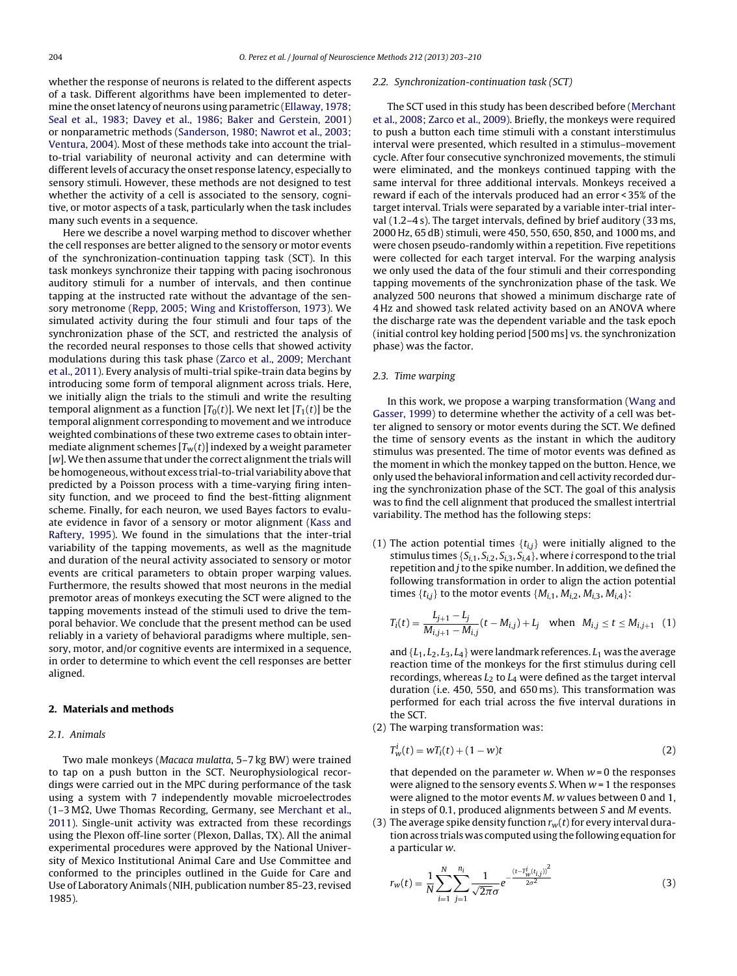<span id="page-1-0"></span>whether the response of neurons is related to the different aspects of a task. Different algorithms have been implemented to deter-mine the onset latency of neurons using parametric [\(Ellaway,](#page-7-0) [1978;](#page-7-0) [Seal](#page-7-0) et [al.,](#page-7-0) [1983;](#page-7-0) [Davey](#page-7-0) et [al.,](#page-7-0) [1986;](#page-7-0) [Baker](#page-7-0) [and](#page-7-0) [Gerstein,](#page-7-0) [2001\)](#page-7-0) or nonparametric methods ([Sanderson,](#page-7-0) [1980;](#page-7-0) [Nawrot](#page-7-0) et [al.,](#page-7-0) [2003;](#page-7-0) [Ventura,](#page-7-0) [2004\).](#page-7-0) Most of these methods take into account the trialto-trial variability of neuronal activity and can determine with different levels of accuracy the onset response latency, especially to sensory stimuli. However, these methods are not designed to test whether the activity of a cell is associated to the sensory, cognitive, or motor aspects of a task, particularly when the task includes many such events in a sequence.

Here we describe a novel warping method to discover whether the cell responses are better aligned to the sensory or motor events of the synchronization-continuation tapping task (SCT). In this task monkeys synchronize their tapping with pacing isochronous auditory stimuli for a number of intervals, and then continue tapping at the instructed rate without the advantage of the sensory metronome [\(Repp,](#page-7-0) [2005;](#page-7-0) [Wing](#page-7-0) [and](#page-7-0) [Kristofferson,](#page-7-0) [1973\).](#page-7-0) We simulated activity during the four stimuli and four taps of the synchronization phase of the SCT, and restricted the analysis of the recorded neural responses to those cells that showed activity modulations during this task phase [\(Zarco](#page-7-0) et [al.,](#page-7-0) [2009;](#page-7-0) [Merchant](#page-7-0) et [al.,](#page-7-0) [2011\).](#page-7-0) Every analysis of multi-trial spike-train data begins by introducing some form of temporal alignment across trials. Here, we initially align the trials to the stimuli and write the resulting temporal alignment as a function  $[T_0(t)]$ . We next let  $[T_1(t)]$  be the temporal alignment corresponding to movement and we introduce weighted combinations of these two extreme cases to obtain intermediate alignment schemes  $[T_w(t)]$  indexed by a weight parameter  $[w]$ . We then assume that under the correct alignment the trials will be homogeneous, without excess trial-to-trial variability above that predicted by a Poisson process with a time-varying firing intensity function, and we proceed to find the best-fitting alignment scheme. Finally, for each neuron, we used Bayes factors to evaluate evidence in favor of a sensory or motor alignment [\(Kass](#page-7-0) [and](#page-7-0) [Raftery,](#page-7-0) [1995\).](#page-7-0) We found in the simulations that the inter-trial variability of the tapping movements, as well as the magnitude and duration of the neural activity associated to sensory or motor events are critical parameters to obtain proper warping values. Furthermore, the results showed that most neurons in the medial premotor areas of monkeys executing the SCT were aligned to the tapping movements instead of the stimuli used to drive the temporal behavior. We conclude that the present method can be used reliably in a variety of behavioral paradigms where multiple, sensory, motor, and/or cognitive events are intermixed in a sequence, in order to determine to which event the cell responses are better aligned.

# **2. Materials and methods**

# 2.1. Animals

Two male monkeys (Macaca mulatta, 5–7 kg BW) were trained to tap on a push button in the SCT. Neurophysiological recordings were carried out in the MPC during performance of the task using a system with 7 independently movable microelectrodes  $(1-3)$  M $\Omega$ , Uwe Thomas Recording, Germany, see [Merchant](#page-7-0) et [al.,](#page-7-0) [2011\).](#page-7-0) Single-unit activity was extracted from these recordings using the Plexon off-line sorter (Plexon, Dallas, TX). All the animal experimental procedures were approved by the National University of Mexico Institutional Animal Care and Use Committee and conformed to the principles outlined in the Guide for Care and Use of Laboratory Animals (NIH, publication number 85-23, revised 1985).

### 2.2. Synchronization-continuation task (SCT)

The SCT used in this study has been described before [\(Merchant](#page-7-0) et [al.,](#page-7-0) [2008;](#page-7-0) [Zarco](#page-7-0) et [al.,](#page-7-0) [2009\).](#page-7-0) Briefly, the monkeys were required to push a button each time stimuli with a constant interstimulus interval were presented, which resulted in a stimulus–movement cycle. After four consecutive synchronized movements, the stimuli were eliminated, and the monkeys continued tapping with the same interval for three additional intervals. Monkeys received a reward if each of the intervals produced had an error < 35% of the target interval. Trials were separated by a variable inter-trial interval (1.2–4 s). The target intervals, defined by brief auditory (33 ms, 2000 Hz, 65 dB) stimuli, were 450, 550, 650, 850, and 1000 ms, and were chosen pseudo-randomly within a repetition. Five repetitions were collected for each target interval. For the warping analysis we only used the data of the four stimuli and their corresponding tapping movements of the synchronization phase of the task. We analyzed 500 neurons that showed a minimum discharge rate of 4 Hz and showed task related activity based on an ANOVA where the discharge rate was the dependent variable and the task epoch (initial control key holding period [500 ms] vs. the synchronization phase) was the factor.

# 2.3. Time warping

In this work, we propose a warping transformation [\(Wang](#page-7-0) [and](#page-7-0) [Gasser,](#page-7-0) [1999\)](#page-7-0) to determine whether the activity of a cell was better aligned to sensory or motor events during the SCT. We defined the time of sensory events as the instant in which the auditory stimulus was presented. The time of motor events was defined as the moment in which the monkey tapped on the button. Hence, we only used the behavioral information and cell activity recorded during the synchronization phase of the SCT. The goal of this analysis was to find the cell alignment that produced the smallest intertrial variability. The method has the following steps:

(1) The action potential times  $\{t_{i,j}\}$  were initially aligned to the stimulus times  $\{S_{i,1}, S_{i,2}, S_{i,3}, S_{i,4}\}$ , where *i* correspond to the trial repetition and  $j$  to the spike number. In addition, we defined the following transformation in order to align the action potential times  $\{t_{i,j}\}$  to the motor events  $\{M_{i,1}, M_{i,2}, M_{i,3}, M_{i,4}\}$ :

$$
T_i(t) = \frac{L_{j+1} - L_j}{M_{i,j+1} - M_{i,j}} (t - M_{i,j}) + L_j \quad \text{when} \quad M_{i,j} \le t \le M_{i,j+1} \quad (1)
$$

and  $\{L_1, L_2, L_3, L_4\}$  were landmark references.  $L_1$  was the average reaction time of the monkeys for the first stimulus during cell recordings, whereas  $L_2$  to  $L_4$  were defined as the target interval duration (i.e. 450, 550, and 650 ms). This transformation was performed for each trial across the five interval durations in the SCT.

(2) The warping transformation was:

$$
T_w^i(t) = wT_i(t) + (1 - w)t
$$
\n(2)

that depended on the parameter  $w$ . When  $w = 0$  the responses were aligned to the sensory events  $S$ . When  $w = 1$  the responses were aligned to the motor events M. w values between 0 and 1, in steps of 0.1, produced alignments between S and M events.

(3) The average spike density function  $r_w(t)$  for every interval duration across trials was computed using the following equation for a particular w.

$$
r_w(t) = \frac{1}{N} \sum_{i=1}^{N} \sum_{j=1}^{n_i} \frac{1}{\sqrt{2\pi}\sigma} e^{-\frac{(t - T_w^i(t_{ij}))^2}{2\sigma^2}}
$$
(3)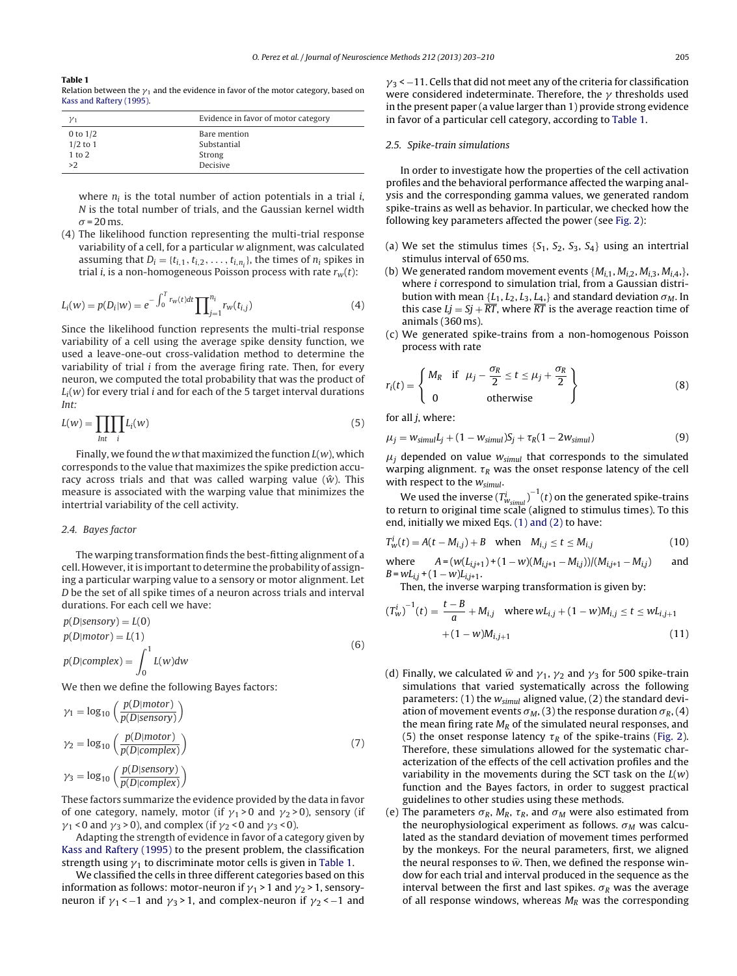### <span id="page-2-0"></span>**Table 1**

Relation between the  $\nu_1$  and the evidence in favor of the motor category, based on [Kass](#page-7-0) [and](#page-7-0) [Raftery](#page-7-0) [\(1995\).](#page-7-0)

| $y_1$        | Evidence in favor of motor category |  |  |  |
|--------------|-------------------------------------|--|--|--|
| 0 to $1/2$   | Bare mention                        |  |  |  |
| $1/2$ to $1$ | Substantial                         |  |  |  |
| 1 to 2       | Strong                              |  |  |  |
| >2           | Decisive                            |  |  |  |

where  $n_i$  is the total number of action potentials in a trial *i*, N is the total number of trials, and the Gaussian kernel width  $\sigma$  = 20 ms.

(4) The likelihood function representing the multi-trial response variability of a cell, for a particular w alignment, was calculated assuming that  $D_i = \{t_{i,1}, t_{i,2}, \ldots, t_{i,n_i}\}$ , the times of  $n_i$  spikes in trial *i*, is a non-homogeneous Poisson process with rate  $r_w(t)$ :

$$
L_i(w) = p(D_i|w) = e^{-\int_0^T r_w(t)dt} \prod_{j=1}^{n_i} r_w(t_{i,j})
$$
\n(4)

Since the likelihood function represents the multi-trial response variability of a cell using the average spike density function, we used a leave-one-out cross-validation method to determine the variability of trial i from the average firing rate. Then, for every neuron, we computed the total probability that was the product of  $L_i(w)$  for every trial *i* and for each of the 5 target interval durations Int:

$$
L(w) = \prod_{int} \prod_{i} L_i(w) \tag{5}
$$

Finally, we found the w that maximized the function  $L(w)$ , which corresponds to the value that maximizes the spike prediction accuracy across trials and that was called warping value ( $\hat{w}$ ). This measure is associated with the warping value that minimizes the intertrial variability of the cell activity.

# 2.4. Bayes factor

The warping transformation finds the best-fitting alignment of a cell. However, it is important to determine the probability of assigning a particular warping value to a sensory or motor alignment. Let D be the set of all spike times of a neuron across trials and interval durations. For each cell we have:

$$
p(D|sensory) = L(0)
$$
  
\n
$$
p(D|motor) = L(1)
$$
  
\n
$$
p(D|complex) = \int_0^1 L(w)dw
$$
\n(6)

We then we define the following Bayes factors:

$$
\gamma_1 = \log_{10} \left( \frac{p(D \mid motor)}{p(D \mid sensory)} \right)
$$
  
\n
$$
\gamma_2 = \log_{10} \left( \frac{p(D \mid motor)}{p(D \mid complex)} \right)
$$
  
\n
$$
\gamma_3 = \log_{10} \left( \frac{p(D \mid sensory)}{p(D \mid complex)} \right)
$$
\n(7)

These factors summarize the evidence provided by the data in favor of one category, namely, motor (if  $\gamma_1 > 0$  and  $\gamma_2 > 0$ ), sensory (if  $\gamma_1$  < 0 and  $\gamma_3$  > 0), and complex (if  $\gamma_2$  < 0 and  $\gamma_3$  < 0).

Adapting the strength of evidence in favor of a category given by [Kass](#page-7-0) [and](#page-7-0) [Raftery](#page-7-0) [\(1995\)](#page-7-0) to the present problem, the classification strength using  $\gamma_1$  to discriminate motor cells is given in Table 1.

We classified the cells in three different categories based on this information as follows: motor-neuron if  $\gamma_1$  > 1 and  $\gamma_2$  > 1, sensoryneuron if  $\gamma_1$  < −1 and  $\gamma_3$  > 1, and complex-neuron if  $\gamma_2$  < −1 and  $\gamma_3$  < -11. Cells that did not meet any of the criteria for classification were considered indeterminate. Therefore, the  $\gamma$  thresholds used in the present paper (a value larger than 1) provide strong evidence in favor of a particular cell category, according to Table 1.

# 2.5. Spike-train simulations

In order to investigate how the properties of the cell activation profiles and the behavioral performance affected the warping analysis and the corresponding gamma values, we generated random spike-trains as well as behavior. In particular, we checked how the following key parameters affected the power (see [Fig.](#page-3-0) 2):

- (a) We set the stimulus times  $\{S_1, S_2, S_3, S_4\}$  using an intertrial stimulus interval of 650 ms.
- (b) We generated random movement events  $\{M_{i,1}, M_{i,2}, M_{i,3}, M_{i,4},\}$ , where *i* correspond to simulation trial, from a Gaussian distribution with mean  $\{L_1, L_2, L_3, L_4, \}$  and standard deviation  $\sigma_M$ . In this case  $Lj = Sj + \overline{RT}$ , where  $\overline{RT}$  is the average reaction time of animals (360 ms).
- (c) We generated spike-trains from a non-homogenous Poisson process with rate

$$
r_i(t) = \begin{cases} M_R & \text{if } \mu_j - \frac{\sigma_R}{2} \le t \le \mu_j + \frac{\sigma_R}{2} \\ 0 & \text{otherwise} \end{cases}
$$
 (8)

for all  $j$ , where:

$$
\mu_j = w_{simul}L_j + (1 - w_{simul})S_j + \tau_R(1 - 2w_{simul})
$$
\n(9)

 $\mu_j$  depended on value  $w_{simul}$  that corresponds to the simulated warping alignment.  $\tau_R$  was the onset response latency of the cell with respect to the  $w_{simul}$ .

We used the inverse  $(T_{w_{simul}}^i)^{-1}(t)$  on the generated spike-trains to return to original time scale (aligned to stimulus times). To this end, initially we mixed Eqs. [\(1\)](#page-1-0) [and](#page-1-0) [\(2\)](#page-1-0) to have:

$$
T_w^i(t) = A(t - M_{i,j}) + B \text{ when } M_{i,j} \le t \le M_{i,j}
$$
 (10)

where  $A = (w(L_{i,j+1}) + (1 - w)(M_{i,j+1} - M_{i,j}))/(M_{i,j+1} - M_{i,j})$  and  $B = wL_{i,j} + (1 - w)L_{i,j+1}.$ 

Then, the inverse warping transformation is given by:

$$
(T_w^i)^{-1}(t) = \frac{t - B}{a} + M_{i,j} \quad \text{where } wL_{i,j} + (1 - w)M_{i,j} \le t \le wL_{i,j+1} + (1 - w)M_{i,j+1}
$$
\n(11)

- (d) Finally, we calculated  $\hat{w}$  and  $\gamma_1$ ,  $\gamma_2$  and  $\gamma_3$  for 500 spike-train simulations that varied systematically across the following parameters: (1) the  $w_{simul}$  aligned value, (2) the standard deviation of movement events  $\sigma_M$ , (3) the response duration  $\sigma_R$ , (4) the mean firing rate  $M_R$  of the simulated neural responses, and (5) the onset response latency  $\tau_R$  of the spike-trains ([Fig.](#page-3-0) 2). Therefore, these simulations allowed for the systematic characterization of the effects of the cell activation profiles and the variability in the movements during the SCT task on the  $L(w)$ function and the Bayes factors, in order to suggest practical guidelines to other studies using these methods.
- (e) The parameters  $\sigma_R$ ,  $M_R$ ,  $\tau_R$ , and  $\sigma_M$  were also estimated from the neurophysiological experiment as follows.  $\sigma_M$  was calculated as the standard deviation of movement times performed by the monkeys. For the neural parameters, first, we aligned the neural responses to  $\hat{w}$ . Then, we defined the response window for each trial and interval produced in the sequence as the interval between the first and last spikes.  $\sigma_R$  was the average of all response windows, whereas  $M_R$  was the corresponding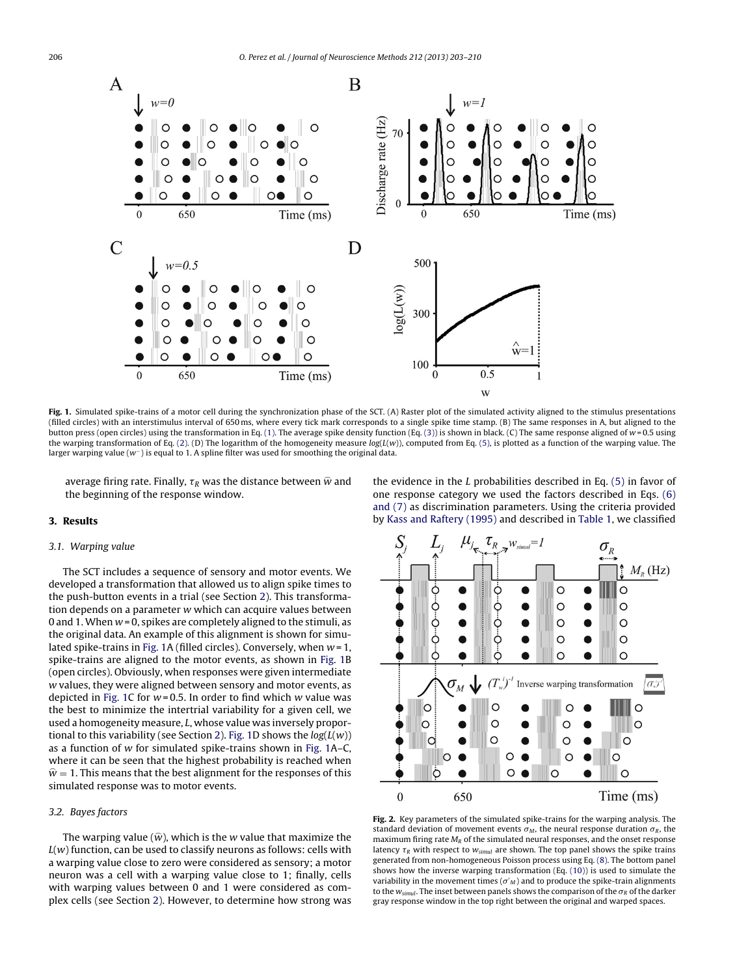<span id="page-3-0"></span>

Fig. 1. Simulated spike-trains of a motor cell during the synchronization phase of the SCT. (A) Raster plot of the simulated activity aligned to the stimulus presentations (filled circles) with an interstimulus interval of 650 ms, where every tick mark corresponds to a single spike time stamp. (B) The same responses in A, but aligned to the button press (open circles) using the transformation in Eq. [\(1\).](#page-1-0) The average spike density function (Eq. [\(3\)\)](#page-1-0) is shown in black. (C) The same response aligned of  $w = 0.5$  using the warping transformation of Eq. [\(2\).](#page-1-0) (D) The logarithm of the homogeneity measure  $log(L(w))$ , computed from Eq. [\(5\),](#page-2-0) is plotted as a function of the warping value. The larger warping value (w−) is equal to 1. A spline filter was used for smoothing the original data.

average firing rate. Finally,  $\tau_R$  was the distance between  $\widehat{w}$  and the beginning of the response window.

# **3. Results**

# 3.1. Warping value

The SCT includes a sequence of sensory and motor events. We developed a transformation that allowed us to align spike times to the push-button events in a trial (see Section [2\).](#page-1-0) This transformation depends on a parameter w which can acquire values between 0 and 1. When  $w = 0$ , spikes are completely aligned to the stimuli, as the original data. An example of this alignment is shown for simulated spike-trains in Fig. 1A (filled circles). Conversely, when  $w = 1$ , spike-trains are aligned to the motor events, as shown in Fig. 1B (open circles). Obviously, when responses were given intermediate w values, they were aligned between sensory and motor events, as depicted in Fig. 1C for  $w = 0.5$ . In order to find which w value was the best to minimize the intertrial variability for a given cell, we used a homogeneity measure, L, whose value was inversely propor-tional to this variability (see Section [2\).](#page-1-0) Fig. 1D shows the  $log(L(w))$ as a function of w for simulated spike-trains shown in Fig. 1A–C, where it can be seen that the highest probability is reached when  $\hat{w}$  = 1. This means that the best alignment for the responses of this simulated response was to motor events.

# 3.2. Bayes factors

The warping value ( $\widehat{w}$ ), which is the w value that maximize the  $L(w)$  function, can be used to classify neurons as follows: cells with a warping value close to zero were considered as sensory; a motor neuron was a cell with a warping value close to 1; finally, cells with warping values between 0 and 1 were considered as complex cells (see Section [2\).](#page-1-0) However, to determine how strong was the evidence in the  $L$  probabilities described in Eq.  $(5)$  in favor of one response category we used the factors described in Eqs. [\(6\)](#page-2-0) [and](#page-2-0) [\(7\)](#page-2-0) as discrimination parameters. Using the criteria provided by [Kass](#page-7-0) [and](#page-7-0) [Raftery](#page-7-0) [\(1995\)](#page-7-0) and described in [Table](#page-2-0) 1, we classified



**Fig. 2.** Key parameters of the simulated spike-trains for the warping analysis. The standard deviation of movement events  $\sigma_M$ , the neural response duration  $\sigma_R$ , the maximum firing rate  $M_R$  of the simulated neural responses, and the onset response latency  $\tau_R$  with respect to  $w_{simul}$  are shown. The top panel shows the spike trains generated from non-homogeneous Poisson process using Eq. [\(8\).](#page-2-0) The bottom panel shows how the inverse warping transformation (Eq. [\(10\)\)](#page-2-0) is used to simulate the variability in the movement times ( $\sigma'$ <sub>M</sub>) and to produce the spike-train alignments to the  $w_{simul}$ . The inset between panels shows the comparison of the  $\sigma_R$  of the darker gray response window in the top right between the original and warped spaces.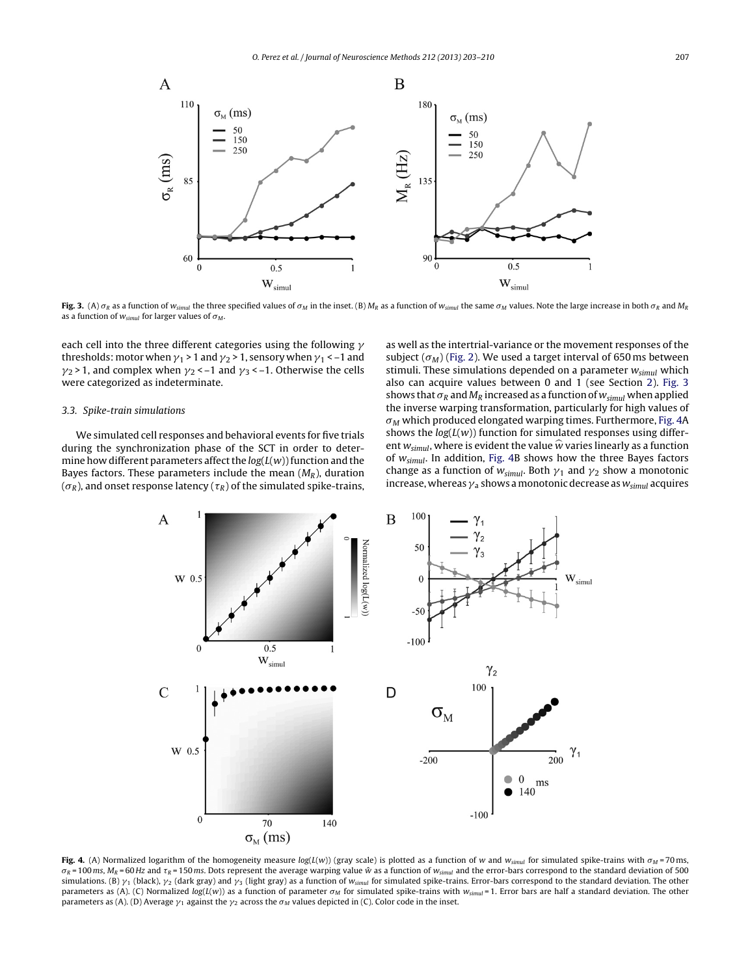<span id="page-4-0"></span>

**Fig. 3.** (A)  $\sigma_R$  as a function of  $w_{simul}$  the three specified values of  $\sigma_M$  in the inset. (B)  $M_R$  as a function of  $w_{simul}$  the same  $\sigma_M$  values. Note the large increase in both  $\sigma_R$  and  $M_R$ as a function of  $w_{simul}$  for larger values of  $\sigma_M$ .

each cell into the three different categories using the following  $\gamma$ thresholds: motor when  $\gamma_1$  > 1 and  $\gamma_2$  > 1, sensory when  $\gamma_1$  < -1 and  $\gamma_2$  > 1, and complex when  $\gamma_2$  < -1 and  $\gamma_3$  < -1. Otherwise the cells were categorized as indeterminate.

# 3.3. Spike-train simulations

We simulated cell responses and behavioral events for five trials during the synchronization phase of the SCT in order to determine how different parameters affect the  $log(L(w))$  function and the Bayes factors. These parameters include the mean  $(M_R)$ , duration  $(\sigma_R)$ , and onset response latency ( $\tau_R$ ) of the simulated spike-trains, as well as the intertrial-variance or the movement responses of the subject  $(\sigma_M)$  [\(Fig.](#page-3-0) 2). We used a target interval of 650 ms between stimuli. These simulations depended on a parameter  $w_{simul}$  which also can acquire values between 0 and 1 (see Section [2\).](#page-1-0) Fig. 3 shows that  $\sigma_R$  and  $M_R$  increased as a function of  $w_{simul}$  when applied the inverse warping transformation, particularly for high values of  $\sigma_M$  which produced elongated warping times. Furthermore, Fig. 4A shows the  $log(L(w))$  function for simulated responses using different  $w_{simul}$ , where is evident the value  $\hat{w}$  varies linearly as a function of  $w_{em}$ . In addition, Fig. 4B shows how the three Bayes factors of  $w_{simul}$ . In addition, Fig. 4B shows how the three Bayes factors change as a function of  $w_{simul}$ . Both  $\gamma_1$  and  $\gamma_2$  show a monotonic increase, whereas  $\gamma_a$  shows a monotonic decrease as  $w_{simul}$  acquires



**Fig. 4.** (A) Normalized logarithm of the homogeneity measure log(L(w)) (gray scale) is plotted as a function of w and w<sub>simul</sub> for simulated spike-trains with  $\sigma_M$  = 70 ms,  $\sigma_R$  = 100 ms,  $M_R$  = 60 Hz and  $\tau_R$  = 150 ms. Dots represent the average warping value  $\hat{w}$  as a function of  $w_{simul}$  and the error-bars correspond to the standard deviation of 500 simulations. (B)  $\gamma_1$  (black),  $\gamma_2$  (dark gray) and  $\gamma_3$  (light gray) as a function of  $w_{simul}$  for simulated spike-trains. Error-bars correspond to the standard deviation. The other parameters as (A). (C) Normalized log(L(w)) as a function of parameter  $\sigma_M$  for simulated spike-trains with  $w_{simul}$  = 1. Error bars are half a standard deviation. The other parameters as (A). (D) Average  $\gamma_1$  against the  $\gamma_2$  across the  $\sigma_M$  values depicted in (C). Color code in the inset.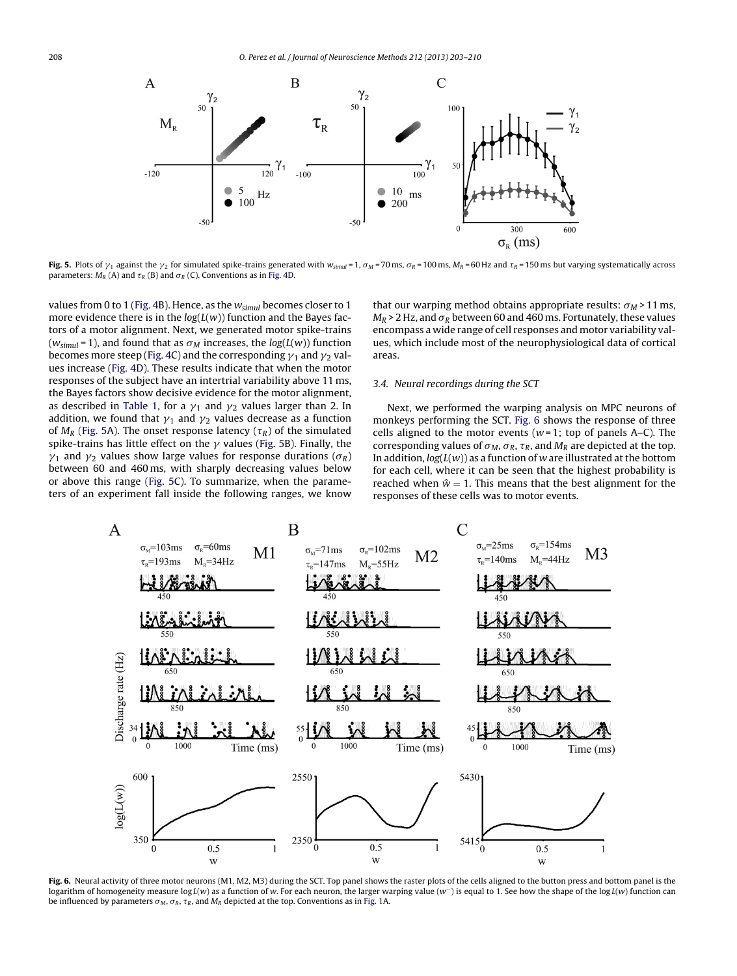<span id="page-5-0"></span>

**Fig. 5.** Plots of  $\gamma_1$  against the  $\gamma_2$  for simulated spike-trains generated with  $w_{sim} = 1$ ,  $\sigma_M = 70$  ms,  $\sigma_R = 100$  ms,  $M_R = 60$  Hz and  $\tau_R = 150$  ms but varying systematically across parameters:  $M_R$  (A) and  $\tau_R$  (B) and  $\sigma_R$  (C). Conventions as in [Fig.](#page-4-0) 4D.

values from 0 to 1 [\(Fig.](#page-4-0) 4B). Hence, as the  $w_{simul}$  becomes closer to 1 more evidence there is in the  $log(L(w))$  function and the Bayes factors of a motor alignment. Next, we generated motor spike-trains ( $w_{simul}$  = 1), and found that as  $\sigma_M$  increases, the  $log(L(w))$  function becomes more steep [\(Fig.](#page-4-0) 4C) and the corresponding  $\gamma_1$  and  $\gamma_2$  values increase [\(Fig.](#page-4-0) 4D). These results indicate that when the motor responses of the subject have an intertrial variability above 11 ms, the Bayes factors show decisive evidence for the motor alignment, as described in [Table](#page-2-0) 1, for a  $\gamma_1$  and  $\gamma_2$  values larger than 2. In addition, we found that  $\gamma_1$  and  $\gamma_2$  values decrease as a function of  $M_R$  (Fig. 5A). The onset response latency ( $\tau_R$ ) of the simulated spike-trains has little effect on the  $\gamma$  values (Fig. 5B). Finally, the  $\gamma_1$  and  $\gamma_2$  values show large values for response durations ( $\sigma_R$ ) between 60 and 460 ms, with sharply decreasing values below or above this range (Fig. 5C). To summarize, when the parameters of an experiment fall inside the following ranges, we know

that our warping method obtains appropriate results:  $\sigma_M$  > 11 ms,  $M_R$  > 2 Hz, and  $\sigma_R$  between 60 and 460 ms. Fortunately, these values encompass a wide range of cell responses and motor variability values, which include most of the neurophysiological data of cortical areas.

# 3.4. Neural recordings during the SCT

Next, we performed the warping analysis on MPC neurons of monkeys performing the SCT. Fig. 6 shows the response of three cells aligned to the motor events ( $w=1$ ; top of panels A–C). The corresponding values of  $\sigma_M$ ,  $\sigma_R$ ,  $\tau_R$ , and  $M_R$  are depicted at the top. In addition,  $log(L(w))$  as a function of w are illustrated at the bottom for each cell, where it can be seen that the highest probability is reached when  $\hat{w} = 1$ . This means that the best alignment for the responses of these cells was to motor events.



**Fig. 6.** Neural activity of three motor neurons (M1, M2, M3) during the SCT. Top panel shows the raster plots of the cells aligned to the button press and bottom panel is the logarithm of homogeneity measure log L(w) as a function of w. For each neuron, the larger warping value (w<sup>-</sup>) is equal to 1. See how the shape of the log L(w) function can be influenced by parameters  $\sigma_M$ ,  $\sigma_R$ ,  $\tau_R$ , and  $M_R$  depicted at the top. Conventions as in [Fig.](#page-3-0) 1A.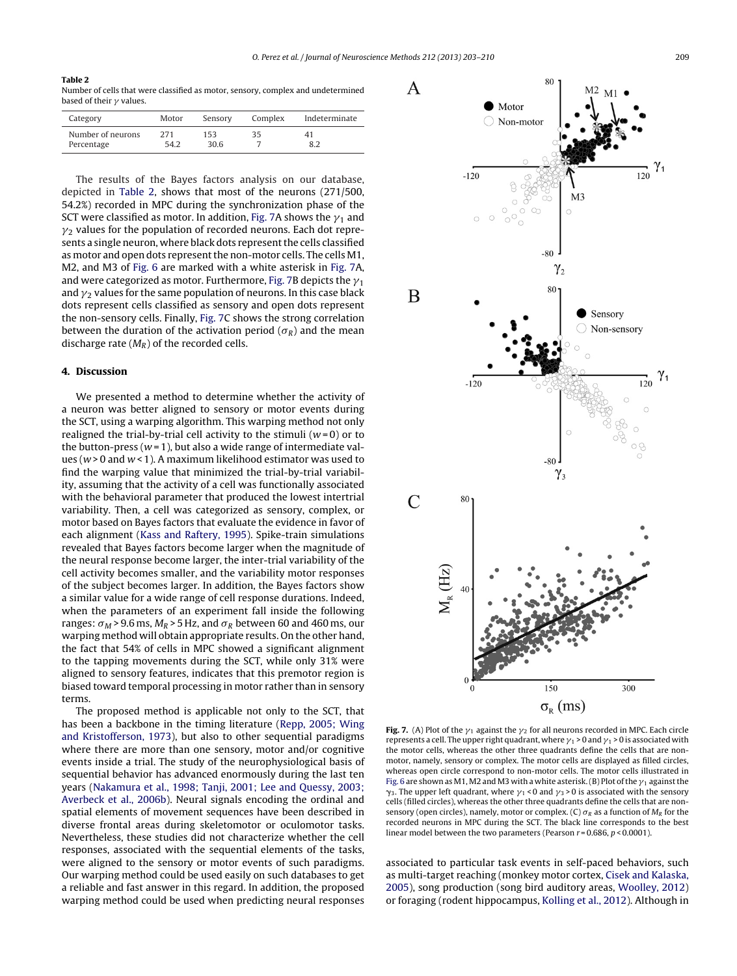### **Table 2**

Number of cells that were classified as motor, sensory, complex and undetermined based of their  $\gamma$  values.

| Category          | Motor | Sensory | Complex | Indeterminate |
|-------------------|-------|---------|---------|---------------|
| Number of neurons | 271   | 153     | 35      | 41            |
| Percentage        | 54.2  | 30.6    |         |               |

The results of the Bayes factors analysis on our database, depicted in Table 2, shows that most of the neurons (271/500, 54.2%) recorded in MPC during the synchronization phase of the SCT were classified as motor. In addition, Fig. 7A shows the  $v_1$  and  $v_2$  values for the population of recorded neurons. Each dot represents a single neuron, where black dots represent the cells classified as motor and open dots represent the non-motor cells. The cells M1, M2, and M3 of [Fig.](#page-5-0) 6 are marked with a white asterisk in Fig. 7A, and were categorized as motor. Furthermore, Fig. 7B depicts the  $\gamma_1$ and  $\gamma_2$  values for the same population of neurons. In this case black dots represent cells classified as sensory and open dots represent the non-sensory cells. Finally, Fig. 7C shows the strong correlation between the duration of the activation period ( $\sigma_R$ ) and the mean discharge rate  $(M_R)$  of the recorded cells.

# **4. Discussion**

We presented a method to determine whether the activity of a neuron was better aligned to sensory or motor events during the SCT, using a warping algorithm. This warping method not only realigned the trial-by-trial cell activity to the stimuli ( $w=0$ ) or to the button-press ( $w = 1$ ), but also a wide range of intermediate values ( $w > 0$  and  $w < 1$ ). A maximum likelihood estimator was used to find the warping value that minimized the trial-by-trial variability, assuming that the activity of a cell was functionally associated with the behavioral parameter that produced the lowest intertrial variability. Then, a cell was categorized as sensory, complex, or motor based on Bayes factors that evaluate the evidence in favor of each alignment [\(Kass](#page-7-0) [and](#page-7-0) [Raftery,](#page-7-0) [1995\).](#page-7-0) Spike-train simulations revealed that Bayes factors become larger when the magnitude of the neural response become larger, the inter-trial variability of the cell activity becomes smaller, and the variability motor responses of the subject becomes larger. In addition, the Bayes factors show a similar value for a wide range of cell response durations. Indeed, when the parameters of an experiment fall inside the following ranges:  $\sigma_M$  > 9.6 ms,  $M_R$  > 5 Hz, and  $\sigma_R$  between 60 and 460 ms, our warping method will obtain appropriate results. On the other hand, the fact that 54% of cells in MPC showed a significant alignment to the tapping movements during the SCT, while only 31% were aligned to sensory features, indicates that this premotor region is biased toward temporal processing in motor rather than in sensory terms.

The proposed method is applicable not only to the SCT, that has been a backbone in the timing literature [\(Repp,](#page-7-0) [2005;](#page-7-0) [Wing](#page-7-0) [and](#page-7-0) [Kristofferson,](#page-7-0) [1973\),](#page-7-0) but also to other sequential paradigms where there are more than one sensory, motor and/or cognitive events inside a trial. The study of the neurophysiological basis of sequential behavior has advanced enormously during the last ten years ([Nakamura](#page-7-0) et [al.,](#page-7-0) [1998;](#page-7-0) [Tanji,](#page-7-0) [2001;](#page-7-0) [Lee](#page-7-0) [and](#page-7-0) [Quessy,](#page-7-0) [2003;](#page-7-0) [Averbeck](#page-7-0) et [al.,](#page-7-0) [2006b\).](#page-7-0) Neural signals encoding the ordinal and spatial elements of movement sequences have been described in diverse frontal areas during skeletomotor or oculomotor tasks. Nevertheless, these studies did not characterize whether the cell responses, associated with the sequential elements of the tasks, were aligned to the sensory or motor events of such paradigms. Our warping method could be used easily on such databases to get a reliable and fast answer in this regard. In addition, the proposed warping method could be used when predicting neural responses



 $80$ 

**Fig. 7.** (A) Plot of the  $\gamma_1$  against the  $\gamma_2$  for all neurons recorded in MPC. Each circle represents a cell. The upper right quadrant, where  $v_1 > 0$  and  $v_1 > 0$  is associated with the motor cells, whereas the other three quadrants define the cells that are nonmotor, namely, sensory or complex. The motor cells are displayed as filled circles, whereas open circle correspond to non-motor cells. The motor cells illustrated in [Fig.](#page-5-0) 6 are shown as M1, M2 and M3 with a white asterisk. (B) Plot of the  $v_1$  against the  $\gamma_3$ . The upper left quadrant, where  $\gamma_1$  < 0 and  $\gamma_3$  > 0 is associated with the sensory cells (filled circles), whereas the other three quadrants define the cells that are nonsensory (open circles), namely, motor or complex. (C)  $\sigma_R$  as a function of  $M_R$  for the recorded neurons in MPC during the SCT. The black line corresponds to the best linear model between the two parameters (Pearson  $r = 0.686$ ,  $p < 0.0001$ ).

associated to particular task events in self-paced behaviors, such as multi-target reaching (monkey motor cortex, [Cisek](#page-7-0) [and](#page-7-0) [Kalaska,](#page-7-0) [2005\),](#page-7-0) song production (song bird auditory areas, [Woolley,](#page-7-0) [2012\)](#page-7-0) or foraging (rodent hippocampus, [Kolling](#page-7-0) et [al.,](#page-7-0) [2012\).](#page-7-0) Although in